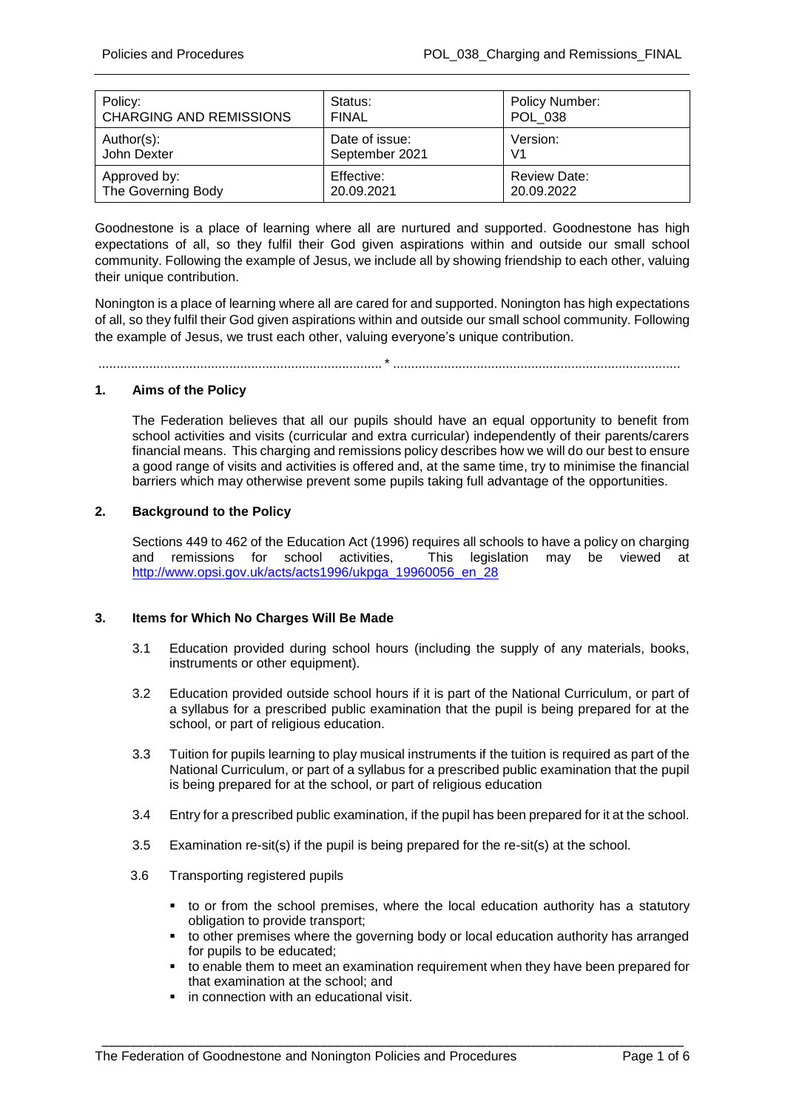| Policy:                        | Status:        | Policy Number:      |
|--------------------------------|----------------|---------------------|
| <b>CHARGING AND REMISSIONS</b> | <b>FINAL</b>   | POL 038             |
| Author(s):                     | Date of issue: | Version:            |
| John Dexter                    | September 2021 | V <sub>1</sub>      |
| Approved by:                   | Effective:     | <b>Review Date:</b> |
| The Governing Body             | 20.09.2021     | 20.09.2022          |

Goodnestone is a place of learning where all are nurtured and supported. Goodnestone has high expectations of all, so they fulfil their God given aspirations within and outside our small school community. Following the example of Jesus, we include all by showing friendship to each other, valuing their unique contribution.

Nonington is a place of learning where all are cared for and supported. Nonington has high expectations of all, so they fulfil their God given aspirations within and outside our small school community. Following the example of Jesus, we trust each other, valuing everyone's unique contribution.

..............................................................................\* ...............................................................................

### **1. Aims of the Policy**

The Federation believes that all our pupils should have an equal opportunity to benefit from school activities and visits (curricular and extra curricular) independently of their parents/carers financial means. This charging and remissions policy describes how we will do our best to ensure a good range of visits and activities is offered and, at the same time, try to minimise the financial barriers which may otherwise prevent some pupils taking full advantage of the opportunities.

# **2. Background to the Policy**

Sections 449 to 462 of the Education Act (1996) requires all schools to have a policy on charging<br>and remissions for school activities. This legislation may be viewed at and remissions for school activities. [http://www.opsi.gov.uk/acts/acts1996/ukpga\\_19960056\\_en\\_28](http://www.opsi.gov.uk/acts/acts1996/ukpga_19960056_en_28)

#### **3. Items for Which No Charges Will Be Made**

- 3.1 Education provided during school hours (including the supply of any materials, books, instruments or other equipment).
- 3.2 Education provided outside school hours if it is part of the National Curriculum, or part of a syllabus for a prescribed public examination that the pupil is being prepared for at the school, or part of religious education.
- 3.3 Tuition for pupils learning to play musical instruments if the tuition is required as part of the National Curriculum, or part of a syllabus for a prescribed public examination that the pupil is being prepared for at the school, or part of religious education
- 3.4 Entry for a prescribed public examination, if the pupil has been prepared for it at the school.
- 3.5 Examination re-sit(s) if the pupil is being prepared for the re-sit(s) at the school.

- 3.6 Transporting registered pupils
	- to or from the school premises, where the local education authority has a statutory obligation to provide transport;
	- to other premises where the governing body or local education authority has arranged for pupils to be educated;
	- to enable them to meet an examination requirement when they have been prepared for that examination at the school; and
	- $\blacksquare$  in connection with an educational visit.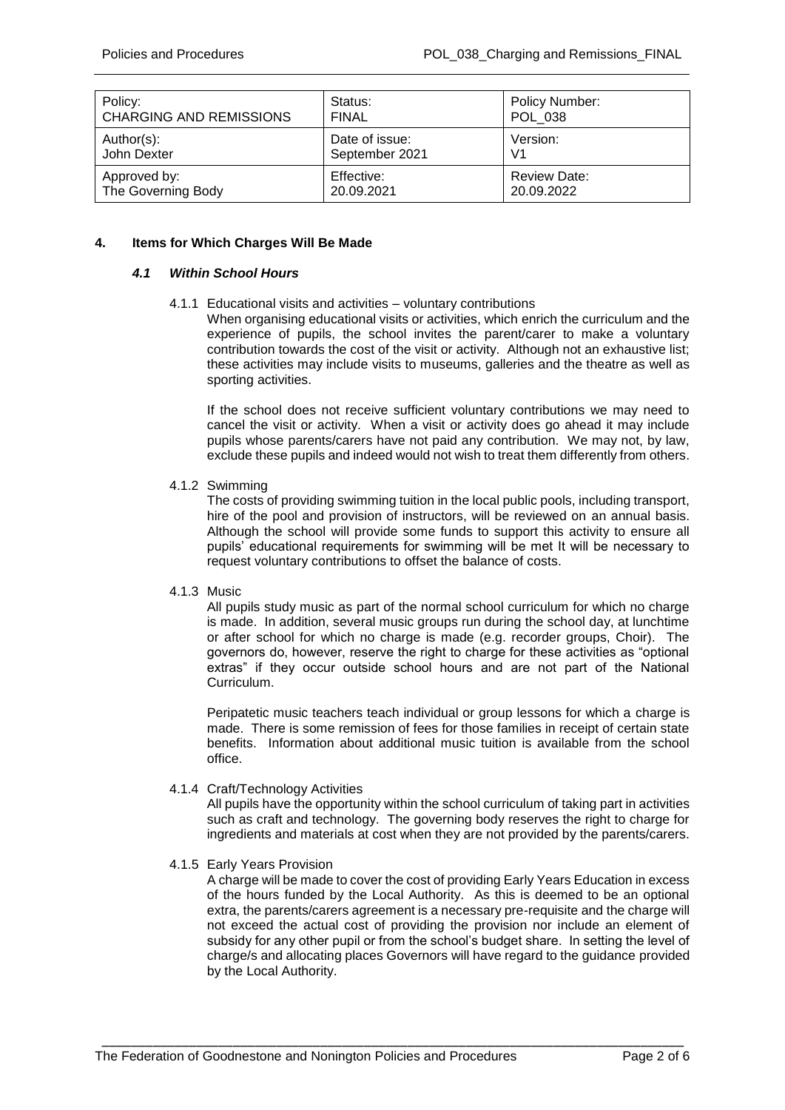| Policy:                        | Status:        | Policy Number: |
|--------------------------------|----------------|----------------|
| <b>CHARGING AND REMISSIONS</b> | <b>FINAL</b>   | POL 038        |
| Author(s):                     | Date of issue: | Version:       |
| John Dexter                    | September 2021 | V <sub>1</sub> |
| Approved by:                   | Effective:     | Review Date:   |
| The Governing Body             | 20.09.2021     | 20.09.2022     |

# **4. Items for Which Charges Will Be Made**

# *4.1 Within School Hours*

### 4.1.1 Educational visits and activities – voluntary contributions

When organising educational visits or activities, which enrich the curriculum and the experience of pupils, the school invites the parent/carer to make a voluntary contribution towards the cost of the visit or activity. Although not an exhaustive list; these activities may include visits to museums, galleries and the theatre as well as sporting activities.

If the school does not receive sufficient voluntary contributions we may need to cancel the visit or activity. When a visit or activity does go ahead it may include pupils whose parents/carers have not paid any contribution. We may not, by law, exclude these pupils and indeed would not wish to treat them differently from others.

### 4.1.2 Swimming

The costs of providing swimming tuition in the local public pools, including transport, hire of the pool and provision of instructors, will be reviewed on an annual basis. Although the school will provide some funds to support this activity to ensure all pupils' educational requirements for swimming will be met It will be necessary to request voluntary contributions to offset the balance of costs.

#### 4.1.3 Music

All pupils study music as part of the normal school curriculum for which no charge is made. In addition, several music groups run during the school day, at lunchtime or after school for which no charge is made (e.g. recorder groups, Choir). The governors do, however, reserve the right to charge for these activities as "optional extras" if they occur outside school hours and are not part of the National Curriculum.

Peripatetic music teachers teach individual or group lessons for which a charge is made. There is some remission of fees for those families in receipt of certain state benefits. Information about additional music tuition is available from the school office.

# 4.1.4 Craft/Technology Activities

All pupils have the opportunity within the school curriculum of taking part in activities such as craft and technology. The governing body reserves the right to charge for ingredients and materials at cost when they are not provided by the parents/carers.

# 4.1.5 Early Years Provision

A charge will be made to cover the cost of providing Early Years Education in excess of the hours funded by the Local Authority. As this is deemed to be an optional extra, the parents/carers agreement is a necessary pre-requisite and the charge will not exceed the actual cost of providing the provision nor include an element of subsidy for any other pupil or from the school's budget share. In setting the level of charge/s and allocating places Governors will have regard to the guidance provided by the Local Authority.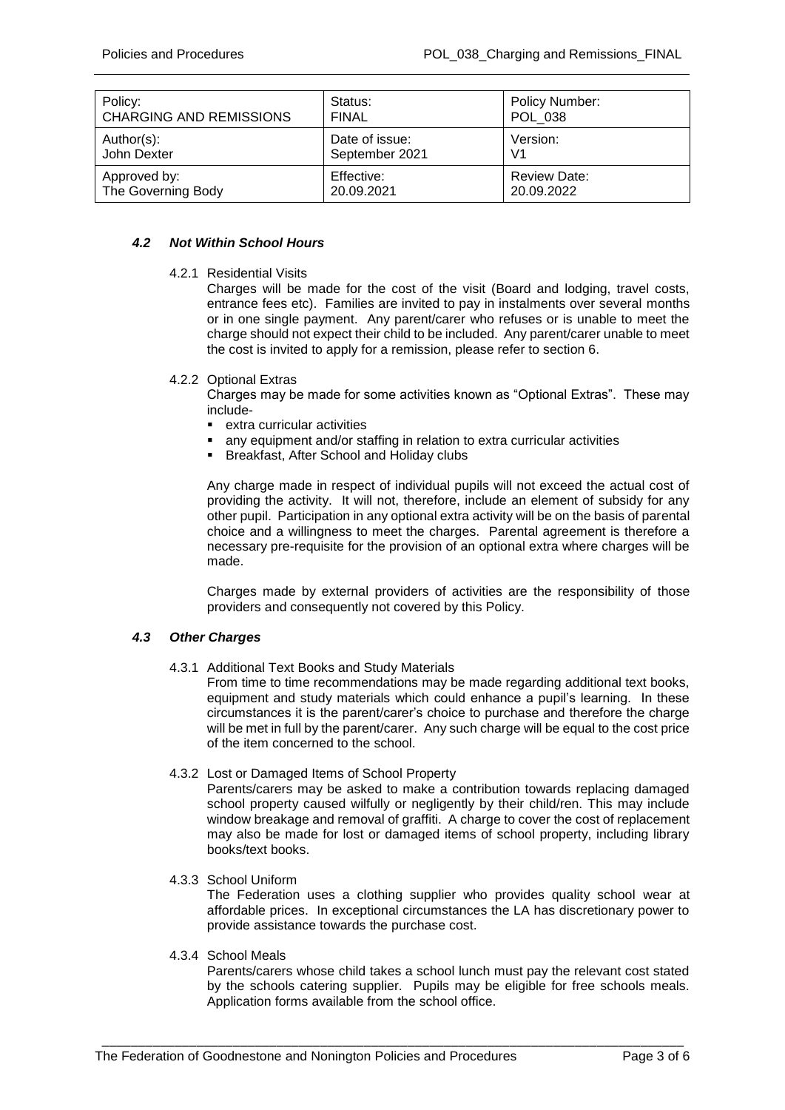| Policy:                        | Status:        | Policy Number:      |
|--------------------------------|----------------|---------------------|
| <b>CHARGING AND REMISSIONS</b> | <b>FINAL</b>   | POL 038             |
| Author(s):                     | Date of issue: | Version:            |
| John Dexter                    | September 2021 | V <sub>1</sub>      |
| Approved by:                   | Effective:     | <b>Review Date:</b> |
| The Governing Body             | 20.09.2021     | 20.09.2022          |

# *4.2 Not Within School Hours*

4.2.1 Residential Visits

Charges will be made for the cost of the visit (Board and lodging, travel costs, entrance fees etc). Families are invited to pay in instalments over several months or in one single payment. Any parent/carer who refuses or is unable to meet the charge should not expect their child to be included. Any parent/carer unable to meet the cost is invited to apply for a remission, please refer to section 6.

### 4.2.2 Optional Extras

Charges may be made for some activities known as "Optional Extras". These may include-

- extra curricular activities
- any equipment and/or staffing in relation to extra curricular activities
- Breakfast, After School and Holiday clubs

Any charge made in respect of individual pupils will not exceed the actual cost of providing the activity. It will not, therefore, include an element of subsidy for any other pupil. Participation in any optional extra activity will be on the basis of parental choice and a willingness to meet the charges. Parental agreement is therefore a necessary pre-requisite for the provision of an optional extra where charges will be made.

Charges made by external providers of activities are the responsibility of those providers and consequently not covered by this Policy.

# *4.3 Other Charges*

4.3.1 Additional Text Books and Study Materials

From time to time recommendations may be made regarding additional text books, equipment and study materials which could enhance a pupil's learning. In these circumstances it is the parent/carer's choice to purchase and therefore the charge will be met in full by the parent/carer. Any such charge will be equal to the cost price of the item concerned to the school.

4.3.2 Lost or Damaged Items of School Property

Parents/carers may be asked to make a contribution towards replacing damaged school property caused wilfully or negligently by their child/ren. This may include window breakage and removal of graffiti. A charge to cover the cost of replacement may also be made for lost or damaged items of school property, including library books/text books.

4.3.3 School Uniform

The Federation uses a clothing supplier who provides quality school wear at affordable prices. In exceptional circumstances the LA has discretionary power to provide assistance towards the purchase cost.

4.3.4 School Meals

Parents/carers whose child takes a school lunch must pay the relevant cost stated by the schools catering supplier. Pupils may be eligible for free schools meals. Application forms available from the school office.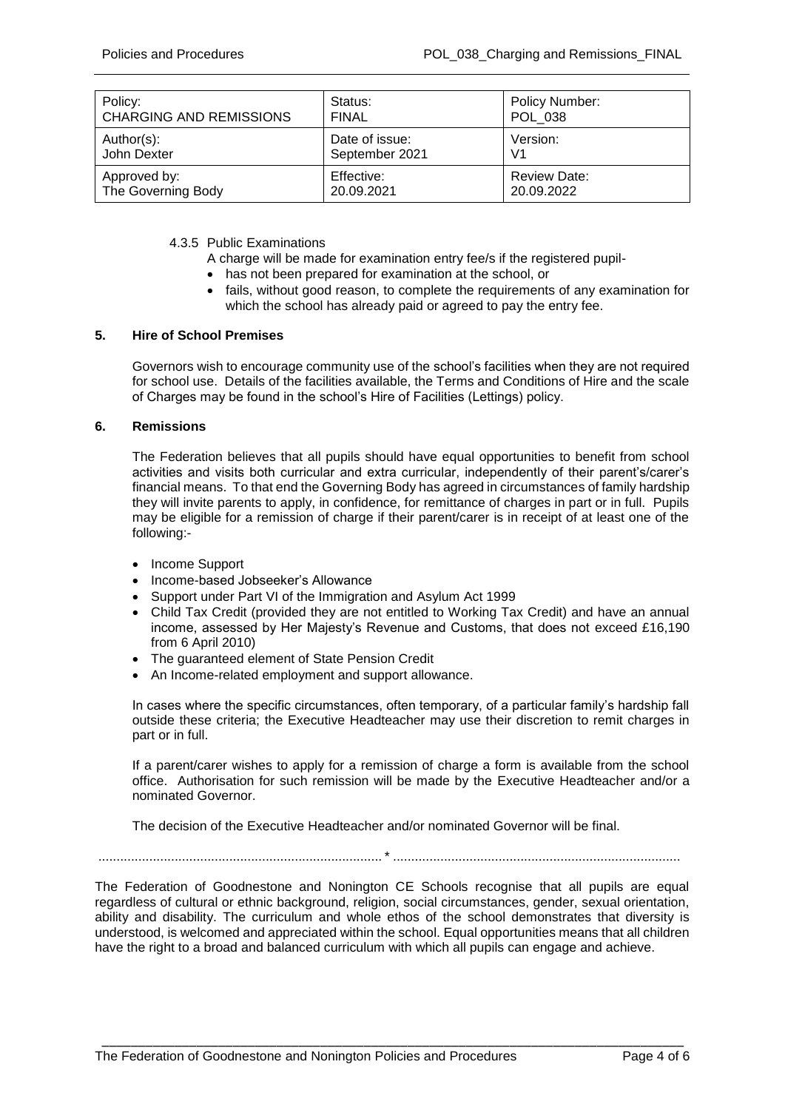| Policy:                        | Status:        | Policy Number:      |
|--------------------------------|----------------|---------------------|
| <b>CHARGING AND REMISSIONS</b> | <b>FINAL</b>   | POL 038             |
| Author(s):                     | Date of issue: | Version:            |
| John Dexter                    | September 2021 | V1                  |
| Approved by:                   | Effective:     | <b>Review Date:</b> |
| The Governing Body             | 20.09.2021     | 20.09.2022          |

### 4.3.5 Public Examinations

- A charge will be made for examination entry fee/s if the registered pupil-
- has not been prepared for examination at the school, or
- fails, without good reason, to complete the requirements of any examination for which the school has already paid or agreed to pay the entry fee.

### **5. Hire of School Premises**

Governors wish to encourage community use of the school's facilities when they are not required for school use. Details of the facilities available, the Terms and Conditions of Hire and the scale of Charges may be found in the school's Hire of Facilities (Lettings) policy.

#### **6. Remissions**

The Federation believes that all pupils should have equal opportunities to benefit from school activities and visits both curricular and extra curricular, independently of their parent's/carer's financial means. To that end the Governing Body has agreed in circumstances of family hardship they will invite parents to apply, in confidence, for remittance of charges in part or in full. Pupils may be eligible for a remission of charge if their parent/carer is in receipt of at least one of the following:-

- Income Support
- Income-based Jobseeker's Allowance
- Support under Part VI of the Immigration and Asylum Act 1999
- Child Tax Credit (provided they are not entitled to Working Tax Credit) and have an annual income, assessed by Her Majesty's Revenue and Customs, that does not exceed £16,190 from 6 April 2010)
- The guaranteed element of State Pension Credit
- An Income-related employment and support allowance.

In cases where the specific circumstances, often temporary, of a particular family's hardship fall outside these criteria; the Executive Headteacher may use their discretion to remit charges in part or in full.

If a parent/carer wishes to apply for a remission of charge a form is available from the school office. Authorisation for such remission will be made by the Executive Headteacher and/or a nominated Governor.

The decision of the Executive Headteacher and/or nominated Governor will be final.

..............................................................................\* ...............................................................................

The Federation of Goodnestone and Nonington CE Schools recognise that all pupils are equal regardless of cultural or ethnic background, religion, social circumstances, gender, sexual orientation, ability and disability. The curriculum and whole ethos of the school demonstrates that diversity is understood, is welcomed and appreciated within the school. Equal opportunities means that all children have the right to a broad and balanced curriculum with which all pupils can engage and achieve.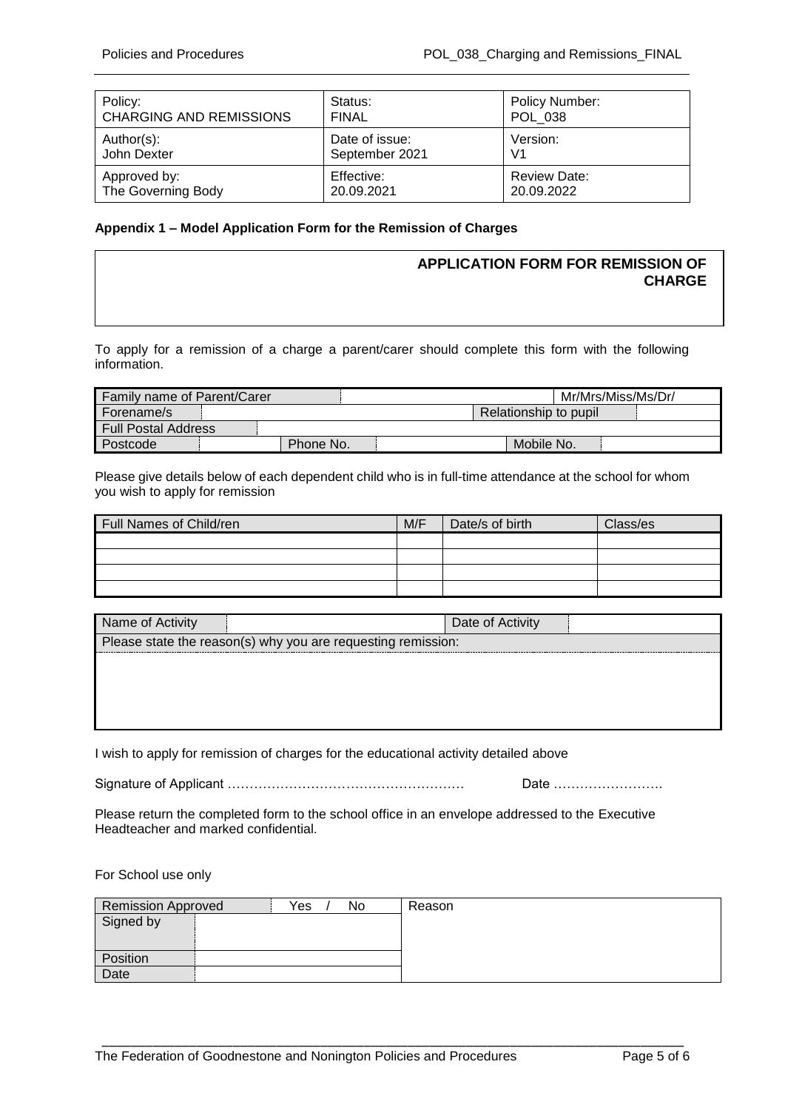| Policy:                        | Status:        | <b>Policy Number:</b> |
|--------------------------------|----------------|-----------------------|
| <b>CHARGING AND REMISSIONS</b> | <b>FINAL</b>   | <b>POL 038</b>        |
| Author(s):                     | Date of issue: | Version:              |
| John Dexter                    | September 2021 | V <sub>1</sub>        |
| Approved by:                   | Effective:     | Review Date:          |
| The Governing Body             | 20.09.2021     | 20.09.2022            |

# **Appendix 1 – Model Application Form for the Remission of Charges**

# **APPLICATION FORM FOR REMISSION OF CHARGE**

To apply for a remission of a charge a parent/carer should complete this form with the following information.

| <b>Family name of Parent/Carer</b> |           |  |                       | Mr/Mrs/Miss/Ms/Dr/ |  |
|------------------------------------|-----------|--|-----------------------|--------------------|--|
| l Forename/s                       |           |  | Relationship to pupil |                    |  |
| <b>Full Postal Address</b>         |           |  |                       |                    |  |
| I Postcode                         | Phone No. |  | Mobile No.            |                    |  |

Please give details below of each dependent child who is in full-time attendance at the school for whom you wish to apply for remission

| Full Names of Child/ren | M/F | Date/s of birth | Class/es |
|-------------------------|-----|-----------------|----------|
|                         |     |                 |          |
|                         |     |                 |          |
|                         |     |                 |          |
|                         |     |                 |          |

| Name of Activity                                             | Date of Activity |  |
|--------------------------------------------------------------|------------------|--|
| Please state the reason(s) why you are requesting remission: |                  |  |
|                                                              |                  |  |
|                                                              |                  |  |
|                                                              |                  |  |
|                                                              |                  |  |

I wish to apply for remission of charges for the educational activity detailed above

Signature of Applicant ……………………………………………… Date …………………….

Please return the completed form to the school office in an envelope addressed to the Executive Headteacher and marked confidential.

For School use only

| Remission Approved | Yes<br>No | Reason |
|--------------------|-----------|--------|
| Signed by          |           |        |
|                    |           |        |
|                    |           |        |
| Position           |           |        |
| <b>Date</b>        |           |        |